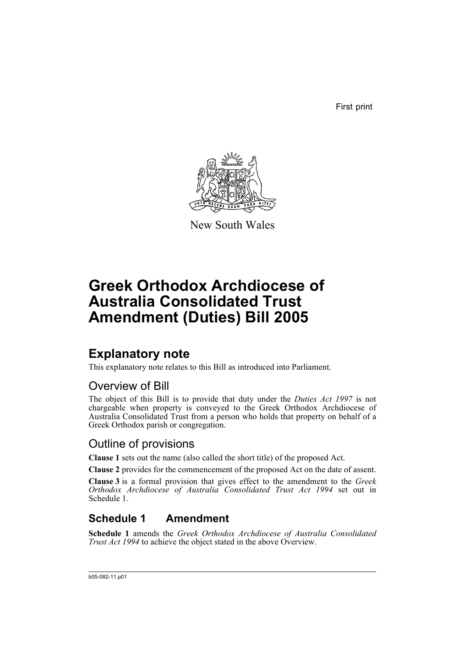First print



New South Wales

# **Greek Orthodox Archdiocese of Australia Consolidated Trust Amendment (Duties) Bill 2005**

## **Explanatory note**

This explanatory note relates to this Bill as introduced into Parliament.

### Overview of Bill

The object of this Bill is to provide that duty under the *Duties Act 1997* is not chargeable when property is conveyed to the Greek Orthodox Archdiocese of Australia Consolidated Trust from a person who holds that property on behalf of a Greek Orthodox parish or congregation.

### Outline of provisions

**Clause 1** sets out the name (also called the short title) of the proposed Act.

**Clause 2** provides for the commencement of the proposed Act on the date of assent.

**Clause 3** is a formal provision that gives effect to the amendment to the *Greek Orthodox Archdiocese of Australia Consolidated Trust Act 1994* set out in Schedule 1.

### **Schedule 1 Amendment**

**Schedule 1** amends the *Greek Orthodox Archdiocese of Australia Consolidated Trust Act 1994* to achieve the object stated in the above Overview.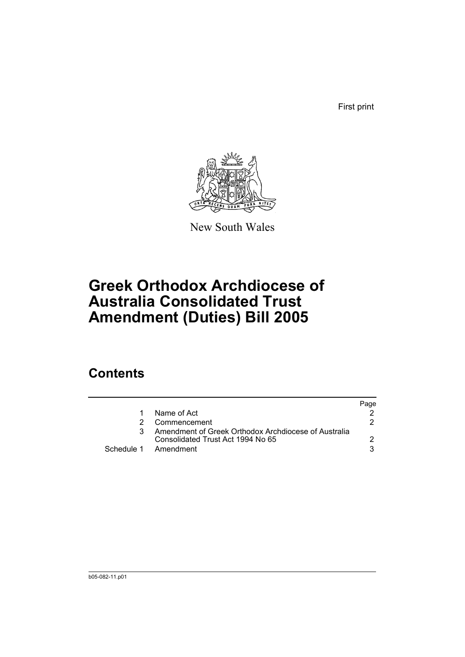First print



New South Wales

# **Greek Orthodox Archdiocese of Australia Consolidated Trust Amendment (Duties) Bill 2005**

## **Contents**

|                                                                                           | Page |
|-------------------------------------------------------------------------------------------|------|
| Name of Act                                                                               |      |
| Commencement                                                                              | 2    |
| Amendment of Greek Orthodox Archdiocese of Australia<br>Consolidated Trust Act 1994 No 65 |      |
| Schedule 1 Amendment                                                                      |      |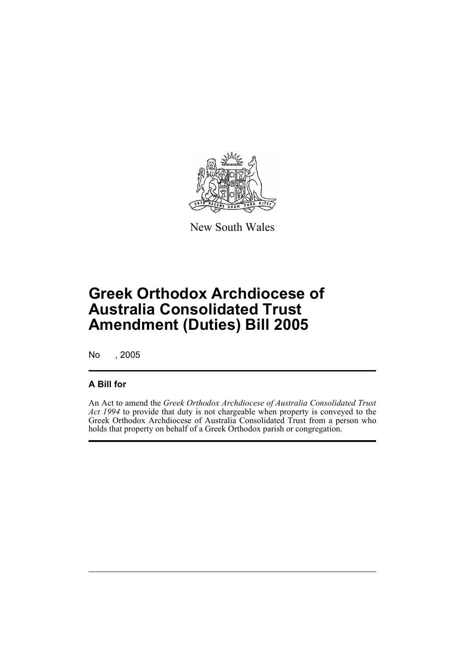

New South Wales

# **Greek Orthodox Archdiocese of Australia Consolidated Trust Amendment (Duties) Bill 2005**

No , 2005

#### **A Bill for**

An Act to amend the *Greek Orthodox Archdiocese of Australia Consolidated Trust Act 1994* to provide that duty is not chargeable when property is conveyed to the Greek Orthodox Archdiocese of Australia Consolidated Trust from a person who holds that property on behalf of a Greek Orthodox parish or congregation.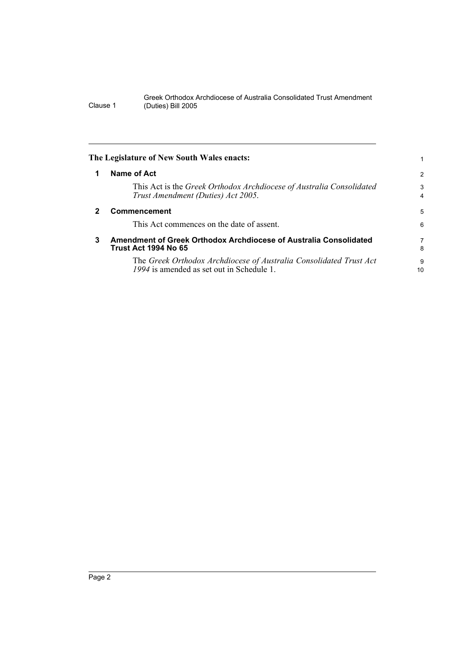Greek Orthodox Archdiocese of Australia Consolidated Trust Amendment Clause 1 (Duties) Bill 2005

|              | The Legislature of New South Wales enacts:                                                                      |                |
|--------------|-----------------------------------------------------------------------------------------------------------------|----------------|
|              | Name of Act                                                                                                     | $\overline{2}$ |
|              | This Act is the Greek Orthodox Archdiocese of Australia Consolidated<br>Trust Amendment (Duties) Act 2005.      | 3<br>4         |
| $\mathbf{2}$ | Commencement                                                                                                    | 5              |
|              | This Act commences on the date of assent.                                                                       | 6              |
| 3            | Amendment of Greek Orthodox Archdiocese of Australia Consolidated<br><b>Trust Act 1994 No 65</b>                | 7<br>8         |
|              | The Greek Orthodox Archdiocese of Australia Consolidated Trust Act<br>1994 is amended as set out in Schedule 1. | 9<br>10        |